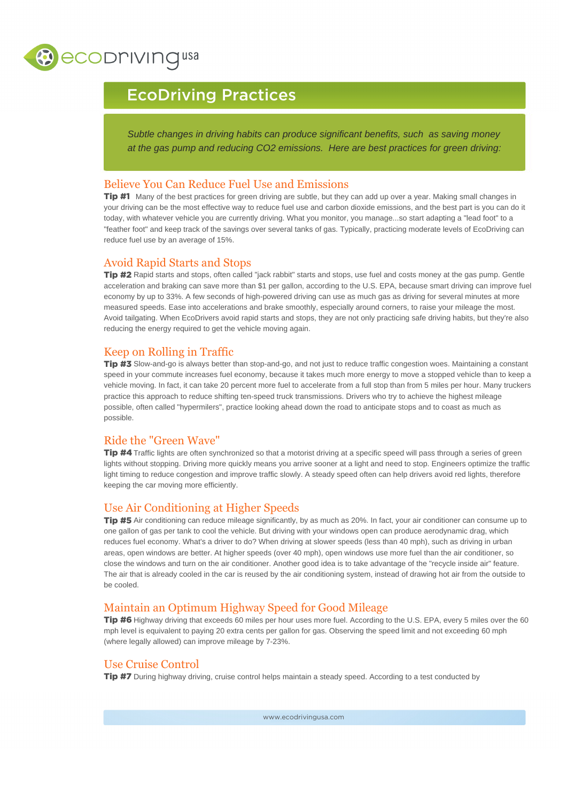

# EcoDriving Practices

Subtle changes in driving habits can produce significant benefits, such as saving money at the gas pump and reducing CO2 emissions. Here are best practices for green driving:

# Believe You Can Reduce Fuel Use and Emissions

Tip #1 Many of the best practices for green driving are subtle, but they can add up over a year. Making small changes in your driving can be the most effective way to reduce fuel use and carbon dioxide emissions, and the best part is you can do it today, with whatever vehicle you are currently driving. What you monitor, you manage...so start adapting a "lead foot" to a "feather foot" and keep track of the savings over several tanks of gas. Typically, practicing moderate levels of EcoDriving can reduce fuel use by an average of 15%.

#### Avoid Rapid Starts and Stops

Tip #2 Rapid starts and stops, often called "jack rabbit" starts and stops, use fuel and costs money at the gas pump. Gentle acceleration and braking can save more than \$1 per gallon, according to the U.S. EPA, because smart driving can improve fuel economy by up to 33%. A few seconds of high-powered driving can use as much gas as driving for several minutes at more measured speeds. Ease into accelerations and brake smoothly, especially around corners, to raise your mileage the most. Avoid tailgating. When EcoDrivers avoid rapid starts and stops, they are not only practicing safe driving habits, but they're also reducing the energy required to get the vehicle moving again.

# Keep on Rolling in Traffic

Tip #3 Slow-and-go is always better than stop-and-go, and not just to reduce traffic congestion woes. Maintaining a constant speed in your commute increases fuel economy, because it takes much more energy to move a stopped vehicle than to keep a vehicle moving. In fact, it can take 20 percent more fuel to accelerate from a full stop than from 5 miles per hour. Many truckers practice this approach to reduce shifting ten-speed truck transmissions. Drivers who try to achieve the highest mileage possible, often called "hypermilers", practice looking ahead down the road to anticipate stops and to coast as much as possible.

# Ride the "Green Wave"

Tip #4 Traffic lights are often synchronized so that a motorist driving at a specific speed will pass through a series of green lights without stopping. Driving more quickly means you arrive sooner at a light and need to stop. Engineers optimize the traffic light timing to reduce congestion and improve traffic slowly. A steady speed often can help drivers avoid red lights, therefore keeping the car moving more efficiently.

# Use Air Conditioning at Higher Speeds

Tip #5 Air conditioning can reduce mileage significantly, by as much as 20%. In fact, your air conditioner can consume up to one gallon of gas per tank to cool the vehicle. But driving with your windows open can produce aerodynamic drag, which reduces fuel economy. What's a driver to do? When driving at slower speeds (less than 40 mph), such as driving in urban areas, open windows are better. At higher speeds (over 40 mph), open windows use more fuel than the air conditioner, so close the windows and turn on the air conditioner. Another good idea is to take advantage of the "recycle inside air" feature. The air that is already cooled in the car is reused by the air conditioning system, instead of drawing hot air from the outside to be cooled.

# Maintain an Optimum Highway Speed for Good Mileage

Tip #6 Highway driving that exceeds 60 miles per hour uses more fuel. According to the U.S. EPA, every 5 miles over the 60 mph level is equivalent to paying 20 extra cents per gallon for gas. Observing the speed limit and not exceeding 60 mph (where legally allowed) can improve mileage by 7-23%.

# Use Cruise Control

Tip #7 During highway driving, cruise control helps maintain a steady speed. According to a test conducted by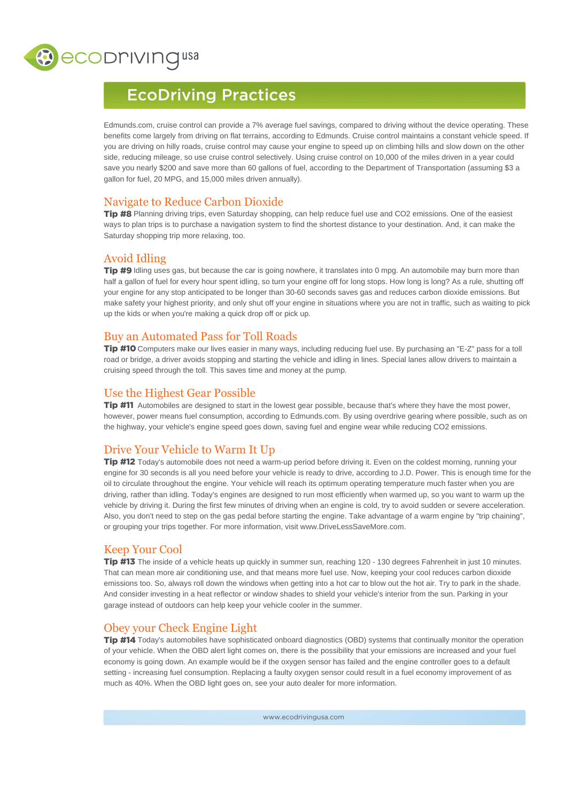

# EcoDriving Practices

[Edmunds.com](https://Edmunds.com), cruise control can provide a 7% average fuel savings, compared to driving without the device operating. These benefits come largely from driving on flat terrains, according to Edmunds. Cruise control maintains a constant vehicle speed. If you are driving on hilly roads, cruise control may cause your engine to speed up on climbing hills and slow down on the other side, reducing mileage, so use cruise control selectively. Using cruise control on 10,000 of the miles driven in a year could save you nearly \$200 and save more than 60 gallons of fuel, according to the Department of Transportation (assuming \$3 a gallon for fuel, 20 MPG, and 15,000 miles driven annually).

#### Navigate to Reduce Carbon Dioxide

Tip #8 Planning driving trips, even Saturday shopping, can help reduce fuel use and CO2 emissions. One of the easiest ways to plan trips is to purchase a navigation system to find the shortest distance to your destination. And, it can make the Saturday shopping trip more relaxing, too.

# Avoid Idling

Tip #9 Idling uses gas, but because the car is going nowhere, it translates into 0 mpg. An automobile may burn more than half a gallon of fuel for every hour spent idling, so turn your engine off for long stops. How long is long? As a rule, shutting off your engine for any stop anticipated to be longer than 30-60 seconds saves gas and reduces carbon dioxide emissions. But make safety your highest priority, and only shut off your engine in situations where you are not in traffic, such as waiting to pick up the kids or when you're making a quick drop off or pick up.

# Buy an Automated Pass for Toll Roads

Tip #10 Computers make our lives easier in many ways, including reducing fuel use. By purchasing an "E-Z" pass for a toll road or bridge, a driver avoids stopping and starting the vehicle and idling in lines. Special lanes allow drivers to maintain a cruising speed through the toll. This saves time and money at the pump.

# Use the Highest Gear Possible

Tip #11 Automobiles are designed to start in the lowest gear possible, because that's where they have the most power, however, power means fuel consumption, according to [Edmunds.com.](https://Edmunds.com) By using overdrive gearing where possible, such as on the highway, your vehicle's engine speed goes down, saving fuel and engine wear while reducing CO2 emissions.

# Drive Your Vehicle to Warm It Up

Tip #12 Today's automobile does not need a warm-up period before driving it. Even on the coldest morning, running your engine for 30 seconds is all you need before your vehicle is ready to drive, according to J.D. Power. This is enough time for the oil to circulate throughout the engine. Your vehicle will reach its optimum operating temperature much faster when you are driving, rather than idling. Today's engines are designed to run most efficiently when warmed up, so you want to warm up the vehicle by driving it. During the first few minutes of driving when an engine is cold, try to avoid sudden or severe acceleration. Also, you don't need to step on the gas pedal before starting the engine. Take advantage of a warm engine by "trip chaining", or grouping your trips together. For more information, visit<www.DriveLessSaveMore.com>.

# Keep Your Cool

Tip #13 The inside of a vehicle heats up quickly in summer sun, reaching 120 - 130 degrees Fahrenheit in just 10 minutes. That can mean more air conditioning use, and that means more fuel use. Now, keeping your cool reduces carbon dioxide emissions too. So, always roll down the windows when getting into a hot car to blow out the hot air. Try to park in the shade. And consider investing in a heat reflector or window shades to shield your vehicle's interior from the sun. Parking in your garage instead of outdoors can help keep your vehicle cooler in the summer.

# Obey your Check Engine Light

Tip #14 Today's automobiles have sophisticated onboard diagnostics (OBD) systems that continually monitor the operation of your vehicle. When the OBD alert light comes on, there is the possibility that your emissions are increased and your fuel economy is going down. An example would be if the oxygen sensor has failed and the engine controller goes to a default setting - increasing fuel consumption. Replacing a faulty oxygen sensor could result in a fuel economy improvement of as much as 40%. When the OBD light goes on, see your auto dealer for more information.